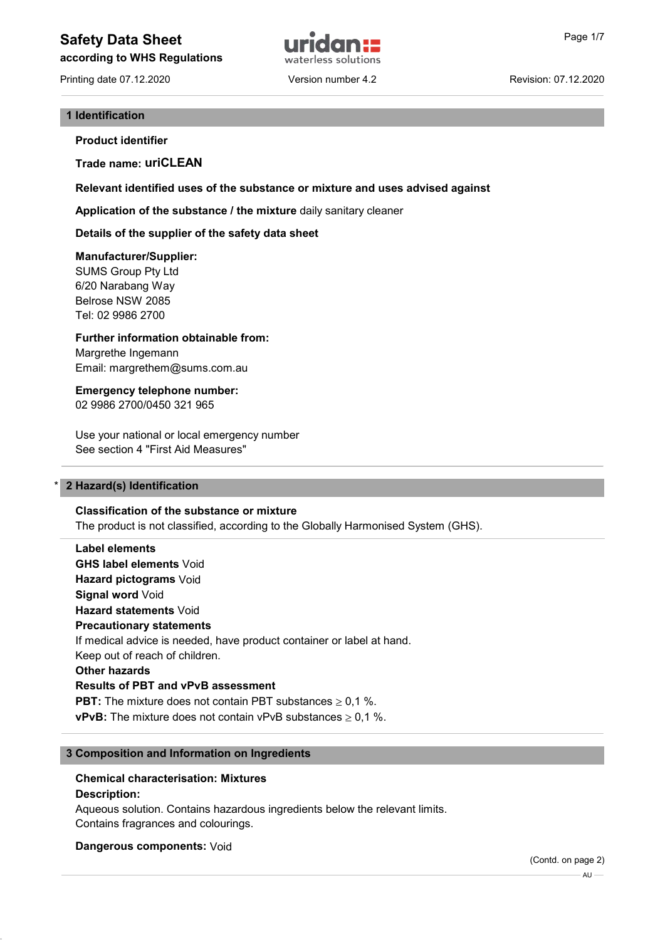# Safety Data Sheet **Example 2018 Page 1/7** and Page 1/7

according to WHS Regulations

Printing date 07.12.2020 Version number 4.2 Revision: 07.12.2020



### 1 Identification

Product identifier

Trade name: uriCLEAN

Relevant identified uses of the substance or mixture and uses advised against

Application of the substance / the mixture daily sanitary cleaner

Details of the supplier of the safety data sheet

### Manufacturer/Supplier:

SUMS Group Pty Ltd 6/20 Narabang Way Belrose NSW 2085 Tel: 02 9986 2700

Further information obtainable from: Margrethe Ingemann Email: margrethem@sums.com.au

Emergency telephone number: 02 9986 2700/0450 321 965

Use your national or local emergency number See section 4 "First Aid Measures"

### 2 Hazard(s) Identification

Classification of the substance or mixture

The product is not classified, according to the Globally Harmonised System (GHS).

Label elements GHS label elements Void Hazard pictograms Void Signal word Void Hazard statements Void Precautionary statements If medical advice is needed, have product container or label at hand. Keep out of reach of children. Other hazards Results of PBT and vPvB assessment **PBT:** The mixture does not contain PBT substances  $\geq 0.1$  %. **vPvB:** The mixture does not contain vPvB substances  $> 0.1$  %.

### 3 Composition and Information on Ingredients

# Chemical characterisation: Mixtures

### Description:

Aqueous solution. Contains hazardous ingredients below the relevant limits. Contains fragrances and colourings.

Dangerous components: Void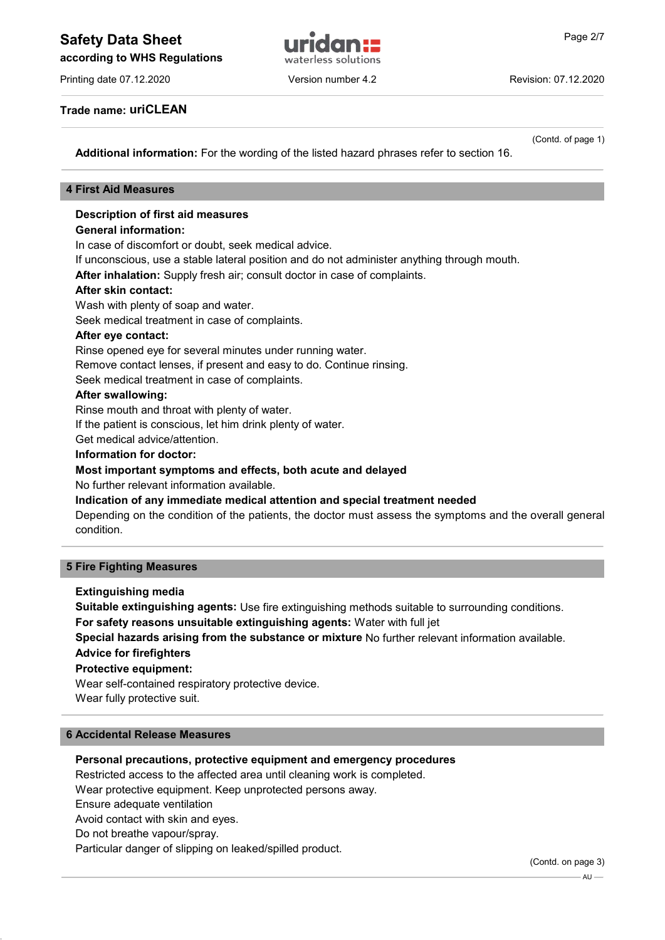# Safety Data Sheet **and The Contract Telecommunity** Page 2/7

according to WHS Regulations

Printing date 07.12.2020 Version number 4.2 Revision: 07.12.2020

Trade name: uriCLEAN

(Contd. of page 1)

Additional information: For the wording of the listed hazard phrases refer to section 16.

### 4 First Aid Measures

### Description of first aid measures

### General information:

In case of discomfort or doubt, seek medical advice.

If unconscious, use a stable lateral position and do not administer anything through mouth.

After inhalation: Supply fresh air; consult doctor in case of complaints.

### After skin contact:

Wash with plenty of soap and water.

Seek medical treatment in case of complaints.

### After eye contact:

Rinse opened eye for several minutes under running water.

Remove contact lenses, if present and easy to do. Continue rinsing.

Seek medical treatment in case of complaints.

### After swallowing:

Rinse mouth and throat with plenty of water.

If the patient is conscious, let him drink plenty of water.

Get medical advice/attention.

### Information for doctor:

### Most important symptoms and effects, both acute and delayed

No further relevant information available.

Indication of any immediate medical attention and special treatment needed

Depending on the condition of the patients, the doctor must assess the symptoms and the overall general condition.

### 5 Fire Fighting Measures

### Extinguishing media

Suitable extinguishing agents: Use fire extinguishing methods suitable to surrounding conditions.

For safety reasons unsuitable extinguishing agents: Water with full jet

Special hazards arising from the substance or mixture No further relevant information available.

### Advice for firefighters

### Protective equipment:

Wear self-contained respiratory protective device. Wear fully protective suit.

### 6 Accidental Release Measures

### Personal precautions, protective equipment and emergency procedures

Restricted access to the affected area until cleaning work is completed.

Wear protective equipment. Keep unprotected persons away.

Ensure adequate ventilation

Avoid contact with skin and eyes.

Do not breathe vapour/spray.

Particular danger of slipping on leaked/spilled product.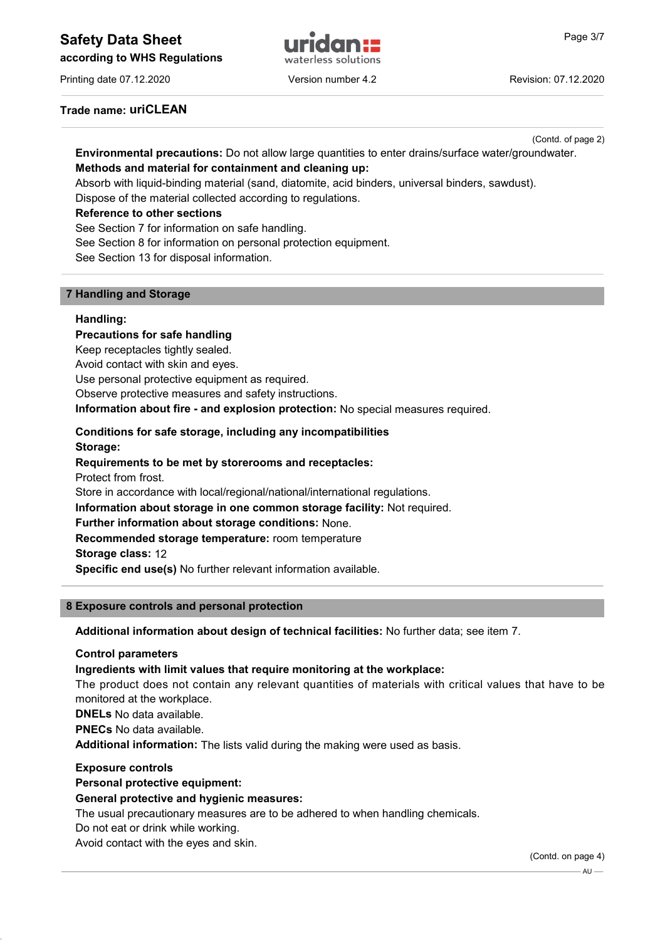# Safety Data Sheet **Example 2018 Page 3/7** and Page 3/7





Printing date 07.12.2020 Version number 4.2 Revision: 07.12.2020

Trade name: uriCLEAN

(Contd. of page 2)

# Environmental precautions: Do not allow large quantities to enter drains/surface water/groundwater. Methods and material for containment and cleaning up:

Absorb with liquid-binding material (sand, diatomite, acid binders, universal binders, sawdust).

Dispose of the material collected according to regulations.

### Reference to other sections

See Section 7 for information on safe handling.

See Section 8 for information on personal protection equipment.

See Section 13 for disposal information.

### 7 Handling and Storage

### Handling:

Precautions for safe handling Keep receptacles tightly sealed. Avoid contact with skin and eyes. Use personal protective equipment as required. Observe protective measures and safety instructions. Information about fire - and explosion protection: No special measures required. Conditions for safe storage, including any incompatibilities Storage: Requirements to be met by storerooms and receptacles: Protect from frost. Store in accordance with local/regional/national/international regulations. Information about storage in one common storage facility: Not required. Further information about storage conditions: None. Recommended storage temperature: room temperature Storage class: 12

Specific end use(s) No further relevant information available.

### 8 Exposure controls and personal protection

Additional information about design of technical facilities: No further data; see item 7.

### Control parameters

### Ingredients with limit values that require monitoring at the workplace:

The product does not contain any relevant quantities of materials with critical values that have to be monitored at the workplace.

DNELs No data available.

PNECs No data available.

Additional information: The lists valid during the making were used as basis.

### Exposure controls

Personal protective equipment:

### General protective and hygienic measures:

The usual precautionary measures are to be adhered to when handling chemicals.

Do not eat or drink while working.

Avoid contact with the eyes and skin.

(Contd. on page 4)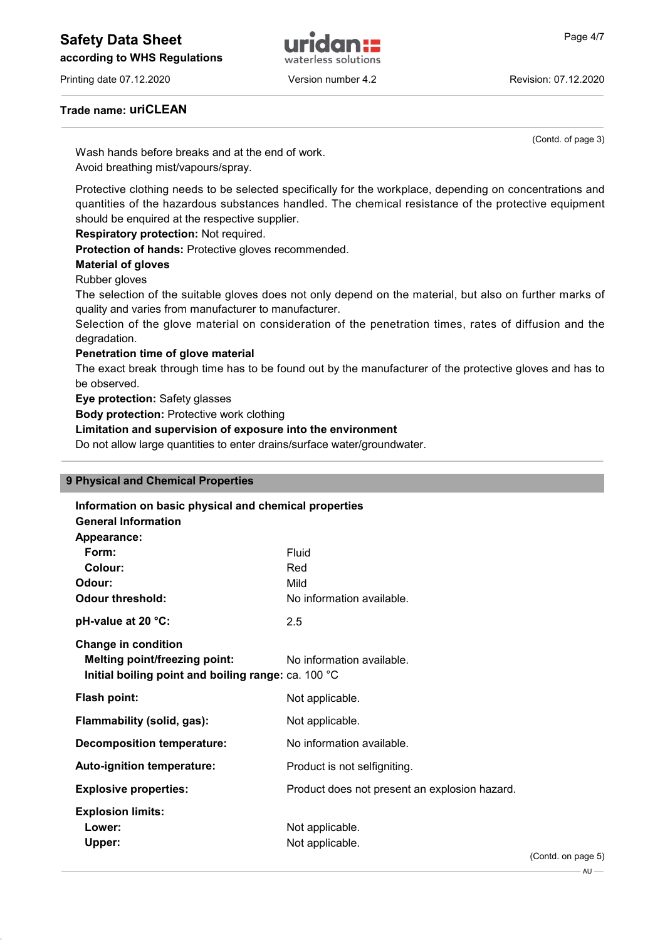# Safety Data Sheet **and Allian Contract and Allian Contract Allian Contract Allian Contract Allian Contract Allian Contract Allian Contract Page 4/7**

according to WHS Regulations

Printing date 07.12.2020 Version number 4.2 Revision: 07.12.2020

waterless solutions

### Trade name: uriCLEAN

(Contd. of page 3)

Wash hands before breaks and at the end of work. Avoid breathing mist/vapours/spray.

Protective clothing needs to be selected specifically for the workplace, depending on concentrations and quantities of the hazardous substances handled. The chemical resistance of the protective equipment should be enquired at the respective supplier.

Respiratory protection: Not required.

Protection of hands: Protective gloves recommended.

Material of gloves

Rubber gloves

The selection of the suitable gloves does not only depend on the material, but also on further marks of quality and varies from manufacturer to manufacturer.

Selection of the glove material on consideration of the penetration times, rates of diffusion and the degradation.

### Penetration time of glove material

The exact break through time has to be found out by the manufacturer of the protective gloves and has to be observed.

Eye protection: Safety glasses

Body protection: Protective work clothing

Limitation and supervision of exposure into the environment

Do not allow large quantities to enter drains/surface water/groundwater.

### 9 Physical and Chemical Properties

| Information on basic physical and chemical properties<br><b>General Information</b>                                       |                                               |                           |
|---------------------------------------------------------------------------------------------------------------------------|-----------------------------------------------|---------------------------|
| Appearance:                                                                                                               |                                               |                           |
| Form:                                                                                                                     | Fluid                                         |                           |
| Colour:                                                                                                                   | Red                                           |                           |
| Odour:                                                                                                                    | Mild                                          |                           |
| <b>Odour threshold:</b>                                                                                                   | No information available.                     |                           |
| pH-value at 20 °C:                                                                                                        | 2.5                                           |                           |
| <b>Change in condition</b><br><b>Melting point/freezing point:</b><br>Initial boiling point and boiling range: ca. 100 °C | No information available.                     |                           |
| Flash point:                                                                                                              | Not applicable.                               |                           |
| Flammability (solid, gas):                                                                                                | Not applicable.                               |                           |
| <b>Decomposition temperature:</b>                                                                                         | No information available.                     |                           |
| Auto-ignition temperature:                                                                                                | Product is not selfigniting.                  |                           |
| <b>Explosive properties:</b>                                                                                              | Product does not present an explosion hazard. |                           |
| <b>Explosion limits:</b><br>Lower:<br>Upper:                                                                              | Not applicable.<br>Not applicable.            | $\sqrt{2}$ and $\sqrt{2}$ |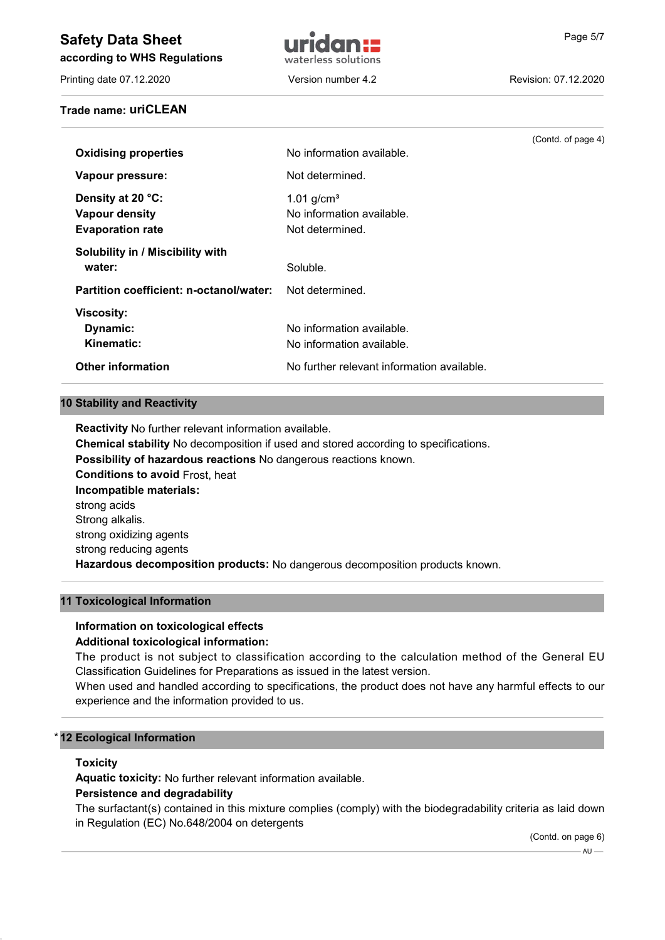# Safety Data Sheet **and The Contract Telection Contract Telection** Page 5/7

according to WHS Regulations

Printing date 07.12.2020 Version number 4.2 Revision: 07.12.2020

Trade name: uriCLEAN



(Contd. of page 4)

# **Oxidising properties** No information available. Vapour pressure: Not determined. **Density at 20 °C:**  $1.01 \text{ g/cm}^3$ Vapour density **No information available.** Evaporation rate Not determined. Solubility in / Miscibility with water: Soluble.

Partition coefficient: n-octanol/water: Not determined. Viscosity: **Dynamic:** No information available. Kinematic: No information available. Other information **No further relevant information available.** 

### 10 Stability and Reactivity

Reactivity No further relevant information available. Chemical stability No decomposition if used and stored according to specifications. Possibility of hazardous reactions No dangerous reactions known. Conditions to avoid Frost, heat Incompatible materials: strong acids Strong alkalis. strong oxidizing agents strong reducing agents Hazardous decomposition products: No dangerous decomposition products known.

### 11 Toxicological Information

# Information on toxicological effects

## Additional toxicological information:

The product is not subject to classification according to the calculation method of the General EU Classification Guidelines for Preparations as issued in the latest version.

When used and handled according to specifications, the product does not have any harmful effects to our experience and the information provided to us.

## **12 Ecological Information**

### **Toxicity**

Aquatic toxicity: No further relevant information available.

## Persistence and degradability

The surfactant(s) contained in this mixture complies (comply) with the biodegradability criteria as laid down in Regulation (EC) No.648/2004 on detergents

(Contd. on page 6)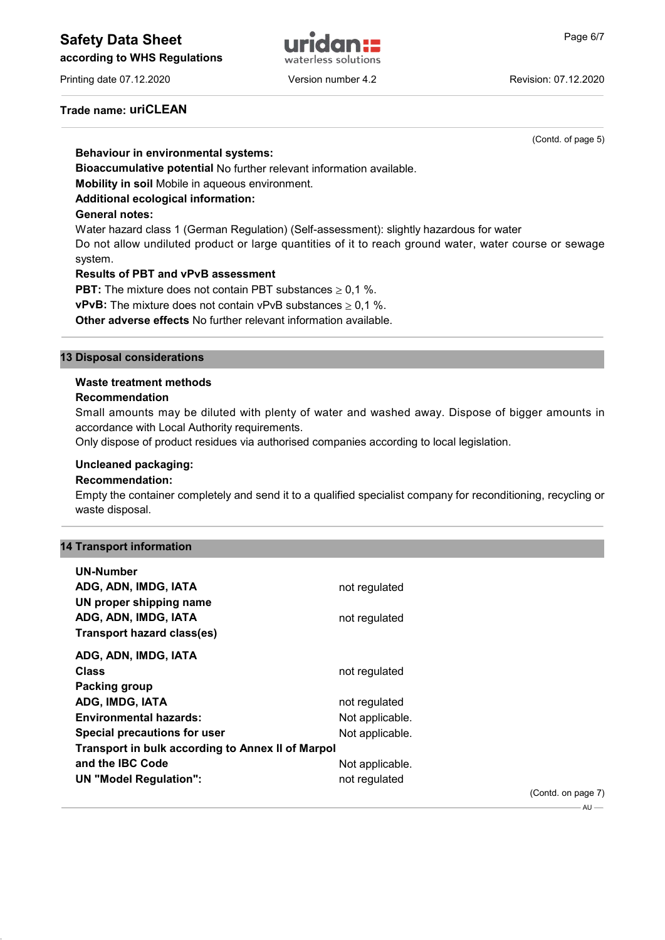according to WHS Regulations



# waterless solutions

### Trade name: uriCLEAN

(Contd. of page 5)

### Behaviour in environmental systems:

Bioaccumulative potential No further relevant information available.

Mobility in soil Mobile in aqueous environment.

### Additional ecological information:

### General notes:

Water hazard class 1 (German Regulation) (Self-assessment): slightly hazardous for water Do not allow undiluted product or large quantities of it to reach ground water, water course or sewage system.

### Results of PBT and vPvB assessment

**PBT:** The mixture does not contain PBT substances  $\geq 0.1$  %.

**vPvB:** The mixture does not contain vPvB substances  $\geq 0.1$  %.

Other adverse effects No further relevant information available.

### 13 Disposal considerations

### Waste treatment methods

### Recommendation

Small amounts may be diluted with plenty of water and washed away. Dispose of bigger amounts in accordance with Local Authority requirements.

Only dispose of product residues via authorised companies according to local legislation.

### Uncleaned packaging:

### Recommendation:

Empty the container completely and send it to a qualified specialist company for reconditioning, recycling or waste disposal.

### 14 Transport information

| <b>UN-Number</b>                                  |                 |                    |
|---------------------------------------------------|-----------------|--------------------|
| ADG, ADN, IMDG, IATA                              | not regulated   |                    |
| UN proper shipping name                           |                 |                    |
| ADG, ADN, IMDG, IATA                              | not regulated   |                    |
| Transport hazard class(es)                        |                 |                    |
| ADG, ADN, IMDG, IATA                              |                 |                    |
| <b>Class</b>                                      | not regulated   |                    |
| Packing group                                     |                 |                    |
| ADG, IMDG, IATA                                   | not regulated   |                    |
| <b>Environmental hazards:</b>                     | Not applicable. |                    |
| Special precautions for user                      | Not applicable. |                    |
| Transport in bulk according to Annex II of Marpol |                 |                    |
| and the <b>IBC</b> Code                           | Not applicable. |                    |
| <b>UN "Model Regulation":</b>                     | not regulated   |                    |
|                                                   |                 | (Contd. on page 7) |

 $All -$